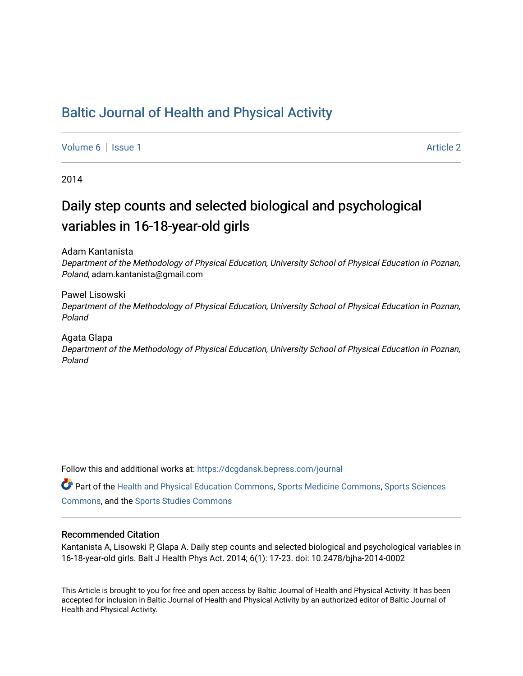## [Baltic Journal of Health and Physical Activity](https://dcgdansk.bepress.com/journal)

[Volume 6](https://dcgdansk.bepress.com/journal/vol6) | [Issue 1](https://dcgdansk.bepress.com/journal/vol6/iss1) Article 2

2014

# Daily step counts and selected biological and psychological variables in 16-18-year-old girls

Adam Kantanista

Department of the Methodology of Physical Education, University School of Physical Education in Poznan, Poland, adam.kantanista@gmail.com

Pawel Lisowski Department of the Methodology of Physical Education, University School of Physical Education in Poznan, Poland

Agata Glapa

Department of the Methodology of Physical Education, University School of Physical Education in Poznan, Poland

Follow this and additional works at: [https://dcgdansk.bepress.com/journal](https://dcgdansk.bepress.com/journal?utm_source=dcgdansk.bepress.com%2Fjournal%2Fvol6%2Fiss1%2F2&utm_medium=PDF&utm_campaign=PDFCoverPages)

Part of the [Health and Physical Education Commons](http://network.bepress.com/hgg/discipline/1327?utm_source=dcgdansk.bepress.com%2Fjournal%2Fvol6%2Fiss1%2F2&utm_medium=PDF&utm_campaign=PDFCoverPages), [Sports Medicine Commons,](http://network.bepress.com/hgg/discipline/1331?utm_source=dcgdansk.bepress.com%2Fjournal%2Fvol6%2Fiss1%2F2&utm_medium=PDF&utm_campaign=PDFCoverPages) [Sports Sciences](http://network.bepress.com/hgg/discipline/759?utm_source=dcgdansk.bepress.com%2Fjournal%2Fvol6%2Fiss1%2F2&utm_medium=PDF&utm_campaign=PDFCoverPages) [Commons](http://network.bepress.com/hgg/discipline/759?utm_source=dcgdansk.bepress.com%2Fjournal%2Fvol6%2Fiss1%2F2&utm_medium=PDF&utm_campaign=PDFCoverPages), and the [Sports Studies Commons](http://network.bepress.com/hgg/discipline/1198?utm_source=dcgdansk.bepress.com%2Fjournal%2Fvol6%2Fiss1%2F2&utm_medium=PDF&utm_campaign=PDFCoverPages) 

#### Recommended Citation

Kantanista A, Lisowski P, Glapa A. Daily step counts and selected biological and psychological variables in 16-18-year-old girls. Balt J Health Phys Act. 2014; 6(1): 17-23. doi: 10.2478/bjha-2014-0002

This Article is brought to you for free and open access by Baltic Journal of Health and Physical Activity. It has been accepted for inclusion in Baltic Journal of Health and Physical Activity by an authorized editor of Baltic Journal of Health and Physical Activity.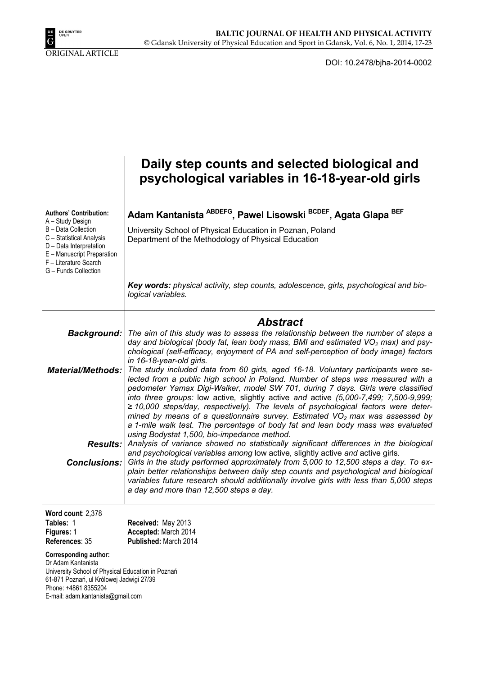

DOI: 10.2478/bjha-2014-0002

|                                                                                                                                                                                                                | Daily step counts and selected biological and<br>psychological variables in 16-18-year-old girls                                                                                                                                                                                                                                                                                                                                                                                                                                                                                                                                                                                                                                                                                                                                                                                                                                                                                                                                                                                                                                                                                                                                                                                                                                                                                             |
|----------------------------------------------------------------------------------------------------------------------------------------------------------------------------------------------------------------|----------------------------------------------------------------------------------------------------------------------------------------------------------------------------------------------------------------------------------------------------------------------------------------------------------------------------------------------------------------------------------------------------------------------------------------------------------------------------------------------------------------------------------------------------------------------------------------------------------------------------------------------------------------------------------------------------------------------------------------------------------------------------------------------------------------------------------------------------------------------------------------------------------------------------------------------------------------------------------------------------------------------------------------------------------------------------------------------------------------------------------------------------------------------------------------------------------------------------------------------------------------------------------------------------------------------------------------------------------------------------------------------|
| <b>Authors' Contribution:</b><br>A - Study Design<br>B - Data Collection<br>C - Statistical Analysis<br>D - Data Interpretation<br>E - Manuscript Preparation<br>F - Literature Search<br>G - Funds Collection | Adam Kantanista ABDEFG, Pawel Lisowski BCDEF, Agata Glapa BEF<br>University School of Physical Education in Poznan, Poland<br>Department of the Methodology of Physical Education<br>Key words: physical activity, step counts, adolescence, girls, psychological and bio-                                                                                                                                                                                                                                                                                                                                                                                                                                                                                                                                                                                                                                                                                                                                                                                                                                                                                                                                                                                                                                                                                                                   |
|                                                                                                                                                                                                                | logical variables.                                                                                                                                                                                                                                                                                                                                                                                                                                                                                                                                                                                                                                                                                                                                                                                                                                                                                                                                                                                                                                                                                                                                                                                                                                                                                                                                                                           |
|                                                                                                                                                                                                                | <b>Abstract</b><br>The aim of this study was to assess the relationship between the number of steps a                                                                                                                                                                                                                                                                                                                                                                                                                                                                                                                                                                                                                                                                                                                                                                                                                                                                                                                                                                                                                                                                                                                                                                                                                                                                                        |
| <b>Background:</b><br><b>Material/Methods:</b><br>Conclusions:                                                                                                                                                 | day and biological (body fat, lean body mass, BMI and estimated $VO2$ max) and psy-<br>chological (self-efficacy, enjoyment of PA and self-perception of body image) factors<br>in 16-18-year-old girls.<br>The study included data from 60 girls, aged 16-18. Voluntary participants were se-<br>lected from a public high school in Poland. Number of steps was measured with a<br>pedometer Yamax Digi-Walker, model SW 701, during 7 days. Girls were classified<br>into three groups: low active, slightly active and active (5,000-7,499; 7,500-9,999;<br>$\geq$ 10,000 steps/day, respectively). The levels of psychological factors were deter-<br>mined by means of a questionnaire survey. Estimated $VO2$ max was assessed by<br>a 1-mile walk test. The percentage of body fat and lean body mass was evaluated<br>using Bodystat 1,500, bio-impedance method.<br><b>Results:</b> Analysis of variance showed no statistically significant differences in the biological<br>and psychological variables among low active, slightly active and active girls.<br>Girls in the study performed approximately from 5,000 to 12,500 steps a day. To ex-<br>plain better relationships between daily step counts and psychological and biological<br>variables future research should additionally involve girls with less than 5,000 steps<br>a day and more than 12,500 steps a day. |
| Word count: 2,378<br>Tables: 1                                                                                                                                                                                 | Received: May 2013                                                                                                                                                                                                                                                                                                                                                                                                                                                                                                                                                                                                                                                                                                                                                                                                                                                                                                                                                                                                                                                                                                                                                                                                                                                                                                                                                                           |
| Figures: 1<br>References: 35                                                                                                                                                                                   | Accepted: March 2014<br>Published: March 2014                                                                                                                                                                                                                                                                                                                                                                                                                                                                                                                                                                                                                                                                                                                                                                                                                                                                                                                                                                                                                                                                                                                                                                                                                                                                                                                                                |
| <b>Corresponding author:</b><br>Dr Adam Kantanista<br>University School of Physical Education in Poznań<br>61-871 Poznań, ul Królowej Jadwigi 27/39<br>Phone: +4861 8355204                                    |                                                                                                                                                                                                                                                                                                                                                                                                                                                                                                                                                                                                                                                                                                                                                                                                                                                                                                                                                                                                                                                                                                                                                                                                                                                                                                                                                                                              |

E-mail: adam.kantanista@gmail.com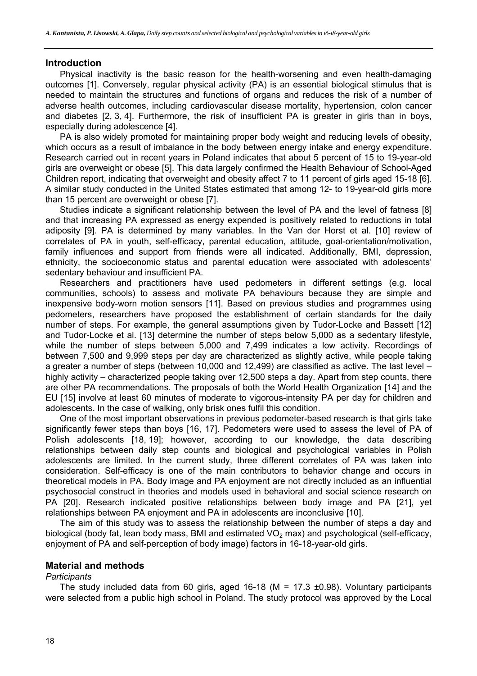## **Introduction**

Physical inactivity is the basic reason for the health-worsening and even health-damaging outcomes [1]. Conversely, regular physical activity (PA) is an essential biological stimulus that is needed to maintain the structures and functions of organs and reduces the risk of a number of adverse health outcomes, including cardiovascular disease mortality, hypertension, colon cancer and diabetes [2, 3, 4]. Furthermore, the risk of insufficient PA is greater in girls than in boys, especially during adolescence [4].

PA is also widely promoted for maintaining proper body weight and reducing levels of obesity, which occurs as a result of imbalance in the body between energy intake and energy expenditure. Research carried out in recent years in Poland indicates that about 5 percent of 15 to 19-year-old girls are overweight or obese [5]. This data largely confirmed the Health Behaviour of School-Aged Children report, indicating that overweight and obesity affect 7 to 11 percent of girls aged 15-18 [6]. A similar study conducted in the United States estimated that among 12- to 19-year-old girls more than 15 percent are overweight or obese [7].

Studies indicate a significant relationship between the level of PA and the level of fatness [8] and that increasing PA expressed as energy expended is positively related to reductions in total adiposity [9]. PA is determined by many variables. In the Van der Horst et al. [10] review of correlates of PA in youth, self-efficacy, parental education, attitude, goal-orientation/motivation, family influences and support from friends were all indicated. Additionally, BMI, depression, ethnicity, the socioeconomic status and parental education were associated with adolescents' sedentary behaviour and insufficient PA.

Researchers and practitioners have used pedometers in different settings (e.g. local communities, schools) to assess and motivate PA behaviours because they are simple and inexpensive body-worn motion sensors [11]. Based on previous studies and programmes using pedometers, researchers have proposed the establishment of certain standards for the daily number of steps. For example, the general assumptions given by Tudor-Locke and Bassett [12] and Tudor-Locke et al. [13] determine the number of steps below 5,000 as a sedentary lifestyle, while the number of steps between 5,000 and 7,499 indicates a low activity. Recordings of between 7,500 and 9,999 steps per day are characterized as slightly active, while people taking a greater a number of steps (between 10,000 and 12,499) are classified as active. The last level – highly activity – characterized people taking over 12,500 steps a day. Apart from step counts, there are other PA recommendations. The proposals of both the World Health Organization [14] and the EU [15] involve at least 60 minutes of moderate to vigorous-intensity PA per day for children and adolescents. In the case of walking, only brisk ones fulfil this condition.

One of the most important observations in previous pedometer-based research is that girls take significantly fewer steps than boys [16, 17]. Pedometers were used to assess the level of PA of Polish adolescents [18, 19]; however, according to our knowledge, the data describing relationships between daily step counts and biological and psychological variables in Polish adolescents are limited. In the current study, three different correlates of PA was taken into consideration. Self-efficacy is one of the main contributors to behavior change and occurs in theoretical models in PA. Body image and PA enjoyment are not directly included as an influential psychosocial construct in theories and models used in behavioral and social science research on PA [20]. Research indicated positive relationships between body image and PA [21], yet relationships between PA enjoyment and PA in adolescents are inconclusive [10].

The aim of this study was to assess the relationship between the number of steps a day and biological (body fat, lean body mass, BMI and estimated  $VO<sub>2</sub>$  max) and psychological (self-efficacy, enjoyment of PA and self-perception of body image) factors in 16-18-year-old girls.

## **Material and methods**

#### *Participants*

The study included data from 60 girls, aged 16-18 (M = 17.3  $\pm$ 0.98). Voluntary participants were selected from a public high school in Poland. The study protocol was approved by the Local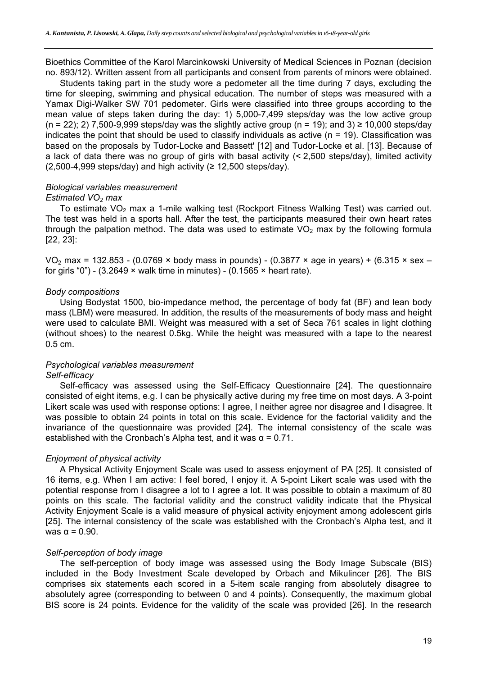Bioethics Committee of the Karol Marcinkowski University of Medical Sciences in Poznan (decision no. 893/12). Written assent from all participants and consent from parents of minors were obtained.

Students taking part in the study wore a pedometer all the time during 7 days, excluding the time for sleeping, swimming and physical education. The number of steps was measured with a Yamax Digi-Walker SW 701 pedometer. Girls were classified into three groups according to the mean value of steps taken during the day: 1) 5,000-7,499 steps/day was the low active group  $(n = 22)$ ; 2) 7,500-9,999 steps/day was the slightly active group  $(n = 19)$ ; and 3)  $\geq$  10,000 steps/day indicates the point that should be used to classify individuals as active  $(n = 19)$ . Classification was based on the proposals by Tudor-Locke and Bassett' [12] and Tudor-Locke et al. [13]. Because of a lack of data there was no group of girls with basal activity (< 2,500 steps/day), limited activity  $(2,500-4,999$  steps/day) and high activity ( $\geq 12,500$  steps/day).

## *Biological variables measurement*

#### *Estimated VO<sub>2</sub> max*

To estimate  $VO<sub>2</sub>$  max a 1-mile walking test (Rockport Fitness Walking Test) was carried out. The test was held in a sports hall. After the test, the participants measured their own heart rates through the palpation method. The data was used to estimate  $VO<sub>2</sub>$  max by the following formula [22, 23]:

VO<sub>2</sub> max = 132.853 - (0.0769 × body mass in pounds) - (0.3877 × age in years) + (6.315 × sex – for girls "0") - (3.2649  $\times$  walk time in minutes) - (0.1565  $\times$  heart rate).

#### *Body compositions*

Using Bodystat 1500, bio-impedance method, the percentage of body fat (BF) and lean body mass (LBM) were measured. In addition, the results of the measurements of body mass and height were used to calculate BMI. Weight was measured with a set of Seca 761 scales in light clothing (without shoes) to the nearest 0.5kg. While the height was measured with a tape to the nearest 0.5 cm.

## *Psychological variables measurement Self-efficacy*

Self-efficacy was assessed using the Self-Efficacy Questionnaire [24]. The questionnaire consisted of eight items, e.g. I can be physically active during my free time on most days. A 3-point Likert scale was used with response options: I agree, I neither agree nor disagree and I disagree. It was possible to obtain 24 points in total on this scale. Evidence for the factorial validity and the invariance of the questionnaire was provided [24]. The internal consistency of the scale was established with the Cronbach's Alpha test, and it was  $\alpha = 0.71$ .

## *Enjoyment of physical activity*

A Physical Activity Enjoyment Scale was used to assess enjoyment of PA [25]. It consisted of 16 items, e.g. When I am active: I feel bored, I enjoy it. A 5-point Likert scale was used with the potential response from I disagree a lot to I agree a lot. It was possible to obtain a maximum of 80 points on this scale. The factorial validity and the construct validity indicate that the Physical Activity Enjoyment Scale is a valid measure of physical activity enjoyment among adolescent girls [25]. The internal consistency of the scale was established with the Cronbach's Alpha test, and it was  $\alpha$  = 0.90.

#### *Self-perception of body image*

The self-perception of body image was assessed using the Body Image Subscale (BIS) included in the Body Investment Scale developed by Orbach and Mikulincer [26]. The BIS comprises six statements each scored in a 5-item scale ranging from absolutely disagree to absolutely agree (corresponding to between 0 and 4 points). Consequently, the maximum global BIS score is 24 points. Evidence for the validity of the scale was provided [26]. In the research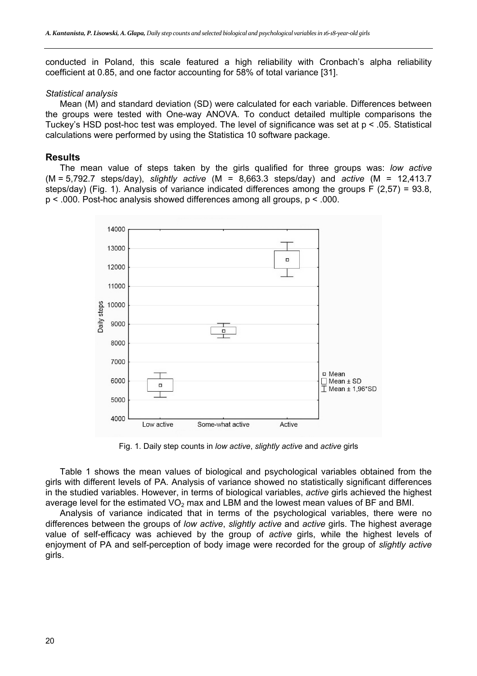conducted in Poland, this scale featured a high reliability with Cronbach's alpha reliability coefficient at 0.85, and one factor accounting for 58% of total variance [31].

#### *Statistical analysis*

Mean (M) and standard deviation (SD) were calculated for each variable. Differences between the groups were tested with One-way ANOVA. To conduct detailed multiple comparisons the Tuckey's HSD post-hoc test was employed. The level of significance was set at p < .05. Statistical calculations were performed by using the Statistica 10 software package.

### **Results**

The mean value of steps taken by the girls qualified for three groups was: *low active* (M = 5,792.7 steps/day), *slightly active* (M = 8,663.3 steps/day) and *active* (M = 12,413.7 steps/day) (Fig. 1). Analysis of variance indicated differences among the groups F (2,57) = 93.8, p < .000. Post-hoc analysis showed differences among all groups, p < .000.



Fig. 1. Daily step counts in *low active*, *slightly active* and *active* girls

Table 1 shows the mean values of biological and psychological variables obtained from the girls with different levels of PA. Analysis of variance showed no statistically significant differences in the studied variables. However, in terms of biological variables, *active* girls achieved the highest average level for the estimated  $VO<sub>2</sub>$  max and LBM and the lowest mean values of BF and BMI.

Analysis of variance indicated that in terms of the psychological variables, there were no differences between the groups of *low active*, *slightly active* and *active* girls. The highest average value of self-efficacy was achieved by the group of *active* girls, while the highest levels of enjoyment of PA and self-perception of body image were recorded for the group of *slightly active* girls.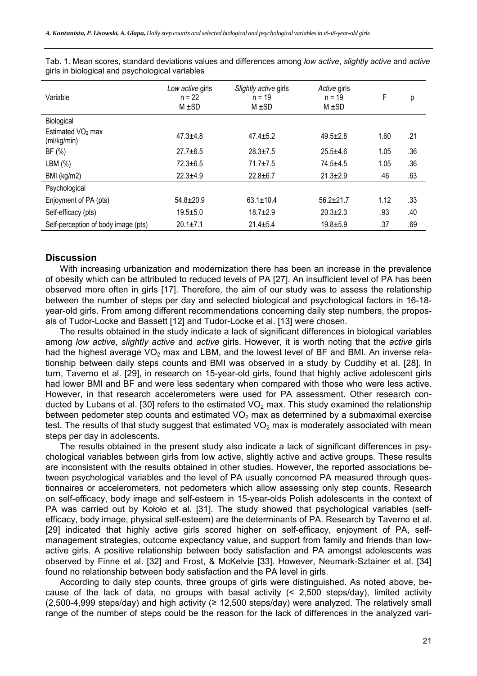| Variable                                     | Low active girls<br>$n = 22$<br>$M \pm SD$ | Slightly active girls<br>$n = 19$<br>$M \pm SD$ | Active girls<br>$n = 19$<br>$M \pm SD$ | F    | р   |
|----------------------------------------------|--------------------------------------------|-------------------------------------------------|----------------------------------------|------|-----|
| Biological                                   |                                            |                                                 |                                        |      |     |
| Estimated VO <sub>2</sub> max<br>(ml/kg/min) | $47.3 + 4.8$                               | $47.4 + 5.2$                                    | $49.5 \pm 2.8$                         | 1.60 | .21 |
| BF(%)                                        | $27.7 + 6.5$                               | $28.3 \pm 7.5$                                  | $25.5 + 4.6$                           | 1.05 | .36 |
| LBM (%)                                      | $72.3 \pm 6.5$                             | $71.7 \pm 7.5$                                  | $74.5 + 4.5$                           | 1.05 | .36 |
| BMI (kg/m2)                                  | $22.3 + 4.9$                               | $22.8 + 6.7$                                    | $21.3 \pm 2.9$                         | .46  | .63 |
| Psychological                                |                                            |                                                 |                                        |      |     |
| Enjoyment of PA (pts)                        | $54.8 \pm 20.9$                            | $63.1 \pm 10.4$                                 | $56.2 \pm 21.7$                        | 1.12 | .33 |
| Self-efficacy (pts)                          | $19.5 + 5.0$                               | $18.7 + 2.9$                                    | $20.3 \pm 2.3$                         | .93  | .40 |
| Self-perception of body image (pts)          | $20.1 \pm 7.1$                             | $21.4 \pm 5.4$                                  | $19.8 + 5.9$                           | .37  | .69 |

Tab. 1. Mean scores, standard deviations values and differences among *low active*, *slightly active* and *active* girls in biological and psychological variables

## **Discussion**

With increasing urbanization and modernization there has been an increase in the prevalence of obesity which can be attributed to reduced levels of PA [27]. An insufficient level of PA has been observed more often in girls [17]. Therefore, the aim of our study was to assess the relationship between the number of steps per day and selected biological and psychological factors in 16-18 year-old girls. From among different recommendations concerning daily step numbers, the proposals of Tudor-Locke and Bassett [12] and Tudor-Locke et al. [13] were chosen.

The results obtained in the study indicate a lack of significant differences in biological variables among *low active*, *slightly active* and *active* girls. However, it is worth noting that the *active* girls had the highest average  $VO<sub>2</sub>$  max and LBM, and the lowest level of BF and BMI. An inverse relationship between daily steps counts and BMI was observed in a study by Cuddihy et al. [28]. In turn, Taverno et al. [29], in research on 15-year-old girls, found that highly active adolescent girls had lower BMI and BF and were less sedentary when compared with those who were less active. However, in that research accelerometers were used for PA assessment. Other research conducted by Lubans et al. [30] refers to the estimated  $VO<sub>2</sub>$  max. This study examined the relationship between pedometer step counts and estimated  $VO<sub>2</sub>$  max as determined by a submaximal exercise test. The results of that study suggest that estimated  $VO<sub>2</sub>$  max is moderately associated with mean steps per day in adolescents.

The results obtained in the present study also indicate a lack of significant differences in psychological variables between girls from low active, slightly active and active groups. These results are inconsistent with the results obtained in other studies. However, the reported associations between psychological variables and the level of PA usually concerned PA measured through questionnaires or accelerometers, not pedometers which allow assessing only step counts. Research on self-efficacy, body image and self-esteem in 15-year-olds Polish adolescents in the context of PA was carried out by Kołoło et al. [31]. The study showed that psychological variables (selfefficacy, body image, physical self-esteem) are the determinants of PA. Research by Taverno et al. [29] indicated that highly active girls scored higher on self-efficacy, enjoyment of PA, selfmanagement strategies, outcome expectancy value, and support from family and friends than lowactive girls. A positive relationship between body satisfaction and PA amongst adolescents was observed by Finne et al. [32] and Frost, & McKelvie [33]. However, Neumark-Sztainer et al. [34] found no relationship between body satisfaction and the PA level in girls.

According to daily step counts, three groups of girls were distinguished. As noted above, because of the lack of data, no groups with basal activity (< 2,500 steps/day), limited activity  $(2,500-4,999$  steps/day) and high activity ( $\geq 12,500$  steps/day) were analyzed. The relatively small range of the number of steps could be the reason for the lack of differences in the analyzed vari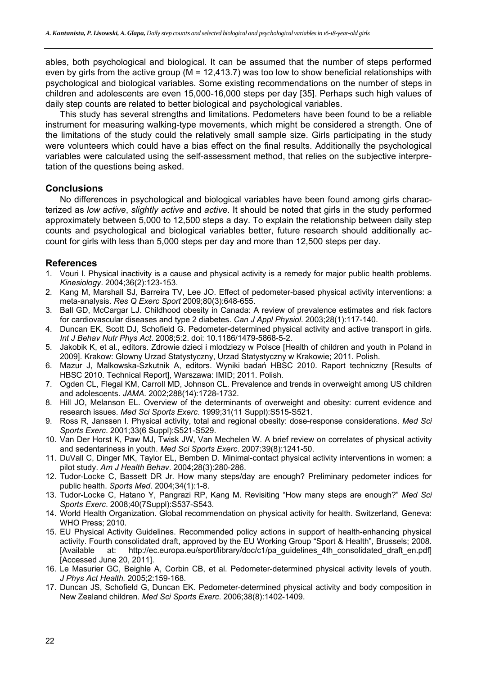ables, both psychological and biological. It can be assumed that the number of steps performed even by girls from the active group ( $M = 12,413.7$ ) was too low to show beneficial relationships with psychological and biological variables. Some existing recommendations on the number of steps in children and adolescents are even 15,000-16,000 steps per day [35]. Perhaps such high values of daily step counts are related to better biological and psychological variables.

This study has several strengths and limitations. Pedometers have been found to be a reliable instrument for measuring walking-type movements, which might be considered a strength. One of the limitations of the study could the relatively small sample size. Girls participating in the study were volunteers which could have a bias effect on the final results. Additionally the psychological variables were calculated using the self-assessment method, that relies on the subjective interpretation of the questions being asked.

## **Conclusions**

No differences in psychological and biological variables have been found among girls characterized as *low active*, *slightly active* and *active*. It should be noted that girls in the study performed approximately between 5,000 to 12,500 steps a day. To explain the relationship between daily step counts and psychological and biological variables better, future research should additionally account for girls with less than 5,000 steps per day and more than 12,500 steps per day.

## **References**

- 1. Vouri I. Physical inactivity is a cause and physical activity is a remedy for major public health problems. *Kinesiology*. 2004;36(2):123-153.
- 2. Kang M, Marshall SJ, Barreira TV, Lee JO. Effect of pedometer-based physical activity interventions: a meta-analysis. *Res Q Exerc Sport* 2009;80(3):648-655.
- 3. Ball GD, McCargar LJ. Childhood obesity in Canada: A review of prevalence estimates and risk factors for cardiovascular diseases and type 2 diabetes. *Can J Appl Physiol*. 2003;28(1):117-140.
- 4. Duncan EK, Scott DJ, Schofield G. Pedometer-determined physical activity and active transport in girls. *Int J Behav Nutr Phys Act*. 2008;5:2. doi: 10.1186/1479-5868-5-2.
- 5. Jakobik K, et al., editors. Zdrowie dzieci i mlodziezy w Polsce [Health of children and youth in Poland in 2009]. Krakow: Glowny Urzad Statystyczny, Urzad Statystyczny w Krakowie; 2011. Polish.
- 6. Mazur J, Malkowska-Szkutnik A, editors. Wyniki badań HBSC 2010. Raport techniczny [Results of HBSC 2010. Technical Report], Warszawa: IMID; 2011. Polish.
- 7. Ogden CL, Flegal KM, Carroll MD, Johnson CL. Prevalence and trends in overweight among US children and adolescents. *JAMA*. 2002;288(14):1728-1732.
- 8. Hill JO, Melanson EL. Overview of the determinants of overweight and obesity: current evidence and research issues. *Med Sci Sports Exerc*. 1999;31(11 Suppl):S515-S521.
- 9. Ross R, Janssen I. Physical activity, total and regional obesity: dose-response considerations. *Med Sci Sports Exerc*. 2001;33(6 Suppl):S521-S529.
- 10. Van Der Horst K, Paw MJ, Twisk JW, Van Mechelen W. A brief review on correlates of physical activity and sedentariness in youth. *Med Sci Sports Exerc*. 2007;39(8):1241-50.
- 11. DuVall C, Dinger MK, Taylor EL, Bemben D. Minimal-contact physical activity interventions in women: a pilot study. *Am J Health Behav*. 2004;28(3):280-286.
- 12. Tudor-Locke C, Bassett DR Jr. How many steps/day are enough? Preliminary pedometer indices for public health. *Sports Med*. 2004;34(1):1-8.
- 13. Tudor-Locke C, Hatano Y, Pangrazi RP, Kang M. Revisiting "How many steps are enough?" *Med Sci Sports Exerc*. 2008;40(7Suppl):S537-S543.
- 14. World Health Organization. Global recommendation on physical activity for health. Switzerland, Geneva: WHO Press; 2010.
- 15. EU Physical Activity Guidelines. Recommended policy actions in support of health-enhancing physical activity. Fourth consolidated draft, approved by the EU Working Group "Sport & Health", Brussels; 2008. [Available at: http://ec.europa.eu/sport/library/doc/c1/pa\_guidelines\_4th\_consolidated\_draft\_en.pdf] [Accessed June 20, 2011].
- 16. Le Masurier GC, Beighle A, Corbin CB, et al. Pedometer-determined physical activity levels of youth. *J Phys Act Health.* 2005;2:159-168.
- 17. Duncan JS, Schofield G, Duncan EK. Pedometer-determined physical activity and body composition in New Zealand children. *Med Sci Sports Exerc*. 2006;38(8):1402-1409.